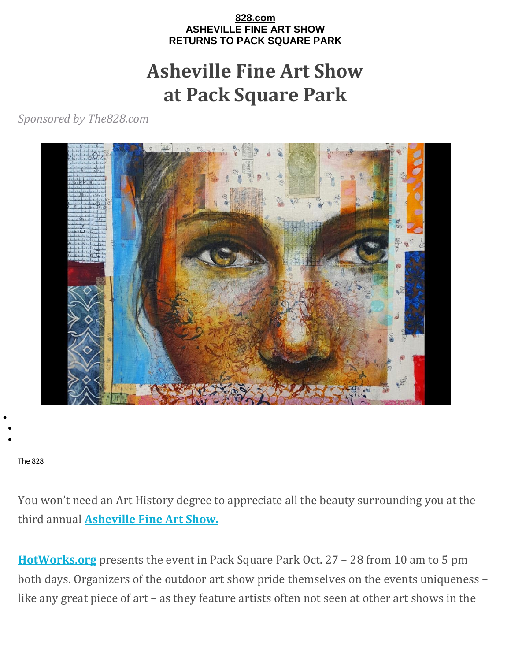## **828.com ASHEVILLE FINE ART SHOW RETURNS TO PACK SQUARE PARK**

## **Asheville Fine Art Show at Pack Square Park**

*Sponsored by The828.com*



## The 828

 $\bullet$  [Twitter](http://the828.com/2018/10/03/ashevillefineartshow/?share=twitter&nb=1)  $\bullet$ 

•

You won't need an Art History degree to appreciate all the beauty surrounding you at the third annual **[Asheville Fine Art Show.](https://hotworks.org/event/asheville-fine-art-show/)**

**[HotWorks.org](https://hotworks.org/)** presents the event in Pack Square Park Oct. 27 – 28 from 10 am to 5 pm both days. Organizers of the outdoor art show pride themselves on the events uniqueness – like any great piece of art – as they feature artists often not seen at other art shows in the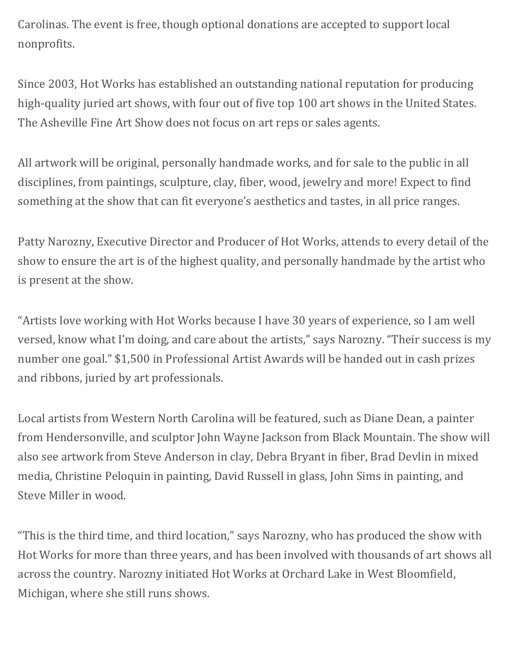Carolinas. The event is free, though optional donations are accepted to support local nonprofits.

Since 2003, Hot Works has established an outstanding national reputation for producing high-quality juried art shows, with four out of five top 100 art shows in the United States. The Asheville Fine Art Show does not focus on art reps or sales agents.

All artwork will be original, personally handmade works, and for sale to the public in all disciplines, from paintings, sculpture, clay, fiber, wood, jewelry and more! Expect to find something at the show that can fit everyone's aesthetics and tastes, in all price ranges.

Patty Narozny, Executive Director and Producer of Hot Works, attends to every detail of the show to ensure the art is of the highest quality, and personally handmade by the artist who is present at the show.

"Artists love working with Hot Works because I have 30 years of experience, so I am well versed, know what I'm doing, and care about the artists," says Narozny. "Their success is my number one goal." \$1,500 in Professional Artist Awards will be handed out in cash prizes and ribbons, juried by art professionals.

Local artists from Western North Carolina will be featured, such as Diane Dean, a painter from Hendersonville, and sculptor John Wayne Jackson from Black Mountain. The show will also see artwork from Steve Anderson in clay, Debra Bryant in fiber, Brad Devlin in mixed media, Christine Peloquin in painting, David Russell in glass, John Sims in painting, and Steve Miller in wood.

"This is the third time, and third location," says Narozny, who has produced the show with Hot Works for more than three years, and has been involved with thousands of art shows all across the country. Narozny initiated Hot Works at Orchard Lake in West Bloomfield, Michigan, where she still runs shows.